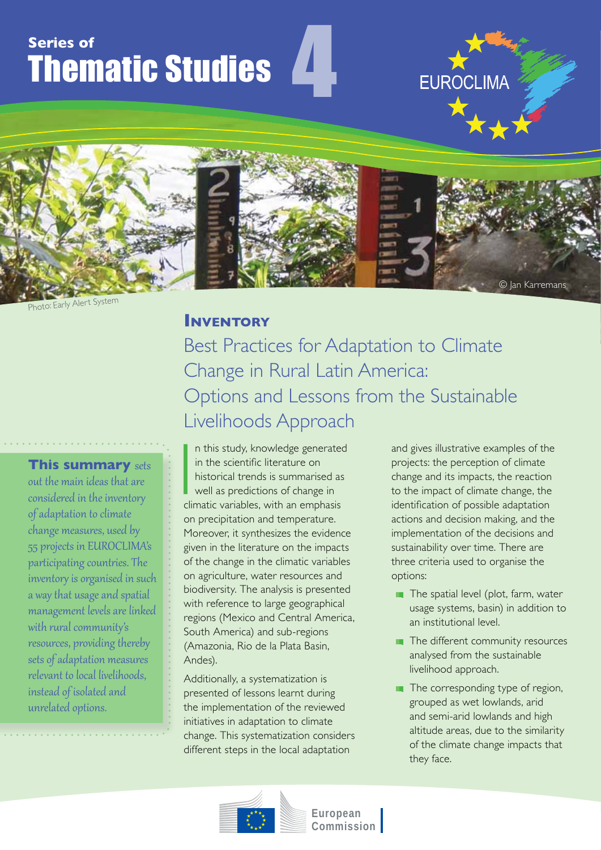# **Series of** Thematic Studies



4

<sup>P</sup>hoto: <sup>E</sup>arl<sup>y</sup> <sup>A</sup>ler<sup>t</sup> <sup>S</sup>y<sup>s</sup>te<sup>m</sup>

## **INVENTORY**

Best Practices for Adaptation to Climate Change in Rural Latin America: Options and Lessons from the Sustainable Livelihoods Approach

**This summary** sets out the main ideas that are considered in the inventory of adaptation to climate change measures, used by 55 projects in EUROCLIMA's participating countries. The inventory is organised in such a way that usage and spatial management levels are linked with rural community's resources, providing thereby sets of adaptation measures relevant to local livelihoods, instead of isolated and unrelated options.

In this study, knowledge generated<br>in the scientific literature on<br>historical trends is summarised as<br>well as predictions of change in<br>climatic variables, with an emphasis n this study, knowledge generated in the scientific literature on historical trends is summarised as well as predictions of change in on precipitation and temperature. Moreover, it synthesizes the evidence given in the literature on the impacts of the change in the climatic variables on agriculture, water resources and biodiversity. The analysis is presented with reference to large geographical regions (Mexico and Central America, South America) and sub-regions (Amazonia, Rio de la Plata Basin, Andes).

Additionally, a systematization is presented of lessons learnt during the implementation of the reviewed initiatives in adaptation to climate change. This systematization considers different steps in the local adaptation

and gives illustrative examples of the projects: the perception of climate change and its impacts, the reaction to the impact of climate change, the identification of possible adaptation actions and decision making, and the implementation of the decisions and sustainability over time. There are three criteria used to organise the options:

**EUROCLIMA** 

- $\blacksquare$  The spatial level (plot, farm, water usage systems, basin) in addition to an institutional level.
- $\blacksquare$  The different community resources analysed from the sustainable livelihood approach.
- $\blacksquare$  The corresponding type of region, grouped as wet lowlands, arid and semi-arid lowlands and high altitude areas, due to the similarity of the climate change impacts that they face.